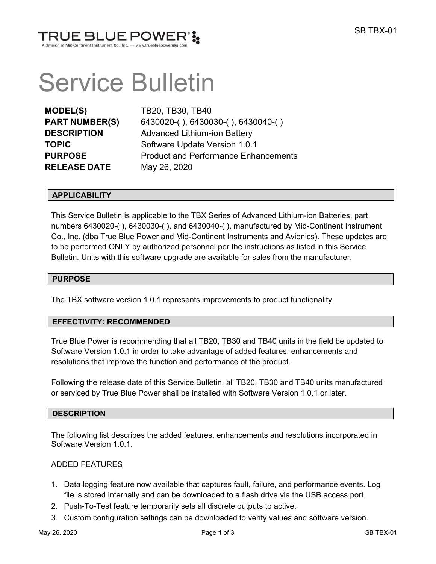

# Service Bulletin

**MODEL(S)** TB20, TB30, TB40 **RELEASE DATE** May 26, 2020

**PART NUMBER(S)** 6430020-( ), 6430030-( ), 6430040-( ) **DESCRIPTION** Advanced Lithium-ion Battery **TOPIC** Software Update Version 1.0.1 **PURPOSE** Product and Performance Enhancements

# **APPLICABILITY**

This Service Bulletin is applicable to the TBX Series of Advanced Lithium-ion Batteries, part numbers 6430020-( ), 6430030-( ), and 6430040-( ), manufactured by Mid-Continent Instrument Co., Inc. (dba True Blue Power and Mid-Continent Instruments and Avionics). These updates are to be performed ONLY by authorized personnel per the instructions as listed in this Service Bulletin. Units with this software upgrade are available for sales from the manufacturer.

#### **PURPOSE**

The TBX software version 1.0.1 represents improvements to product functionality.

#### **EFFECTIVITY: RECOMMENDED**

True Blue Power is recommending that all TB20, TB30 and TB40 units in the field be updated to Software Version 1.0.1 in order to take advantage of added features, enhancements and resolutions that improve the function and performance of the product.

Following the release date of this Service Bulletin, all TB20, TB30 and TB40 units manufactured or serviced by True Blue Power shall be installed with Software Version 1.0.1 or later.

#### **DESCRIPTION**

The following list describes the added features, enhancements and resolutions incorporated in Software Version 1.0.1.

#### ADDED FEATURES

- 1. Data logging feature now available that captures fault, failure, and performance events. Log file is stored internally and can be downloaded to a flash drive via the USB access port.
- 2. Push-To-Test feature temporarily sets all discrete outputs to active.
- 3. Custom configuration settings can be downloaded to verify values and software version.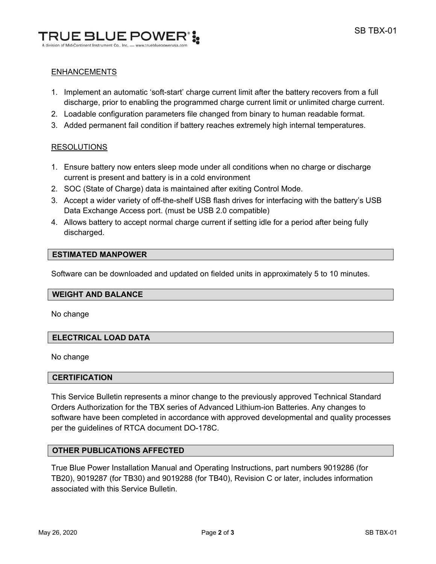

# ENHANCEMENTS

- 1. Implement an automatic 'soft-start' charge current limit after the battery recovers from a full discharge, prior to enabling the programmed charge current limit or unlimited charge current.
- 2. Loadable configuration parameters file changed from binary to human readable format.
- 3. Added permanent fail condition if battery reaches extremely high internal temperatures.

# RESOLUTIONS

- 1. Ensure battery now enters sleep mode under all conditions when no charge or discharge current is present and battery is in a cold environment
- 2. SOC (State of Charge) data is maintained after exiting Control Mode.
- 3. Accept a wider variety of off-the-shelf USB flash drives for interfacing with the battery's USB Data Exchange Access port. (must be USB 2.0 compatible)
- 4. Allows battery to accept normal charge current if setting idle for a period after being fully discharged.

# **ESTIMATED MANPOWER**

Software can be downloaded and updated on fielded units in approximately 5 to 10 minutes.

#### **WEIGHT AND BALANCE**

No change

# **ELECTRICAL LOAD DATA**

No change

#### **CERTIFICATION**

This Service Bulletin represents a minor change to the previously approved Technical Standard Orders Authorization for the TBX series of Advanced Lithium-ion Batteries. Any changes to software have been completed in accordance with approved developmental and quality processes per the guidelines of RTCA document DO-178C.

## **OTHER PUBLICATIONS AFFECTED**

True Blue Power Installation Manual and Operating Instructions, part numbers 9019286 (for TB20), 9019287 (for TB30) and 9019288 (for TB40), Revision C or later, includes information associated with this Service Bulletin.